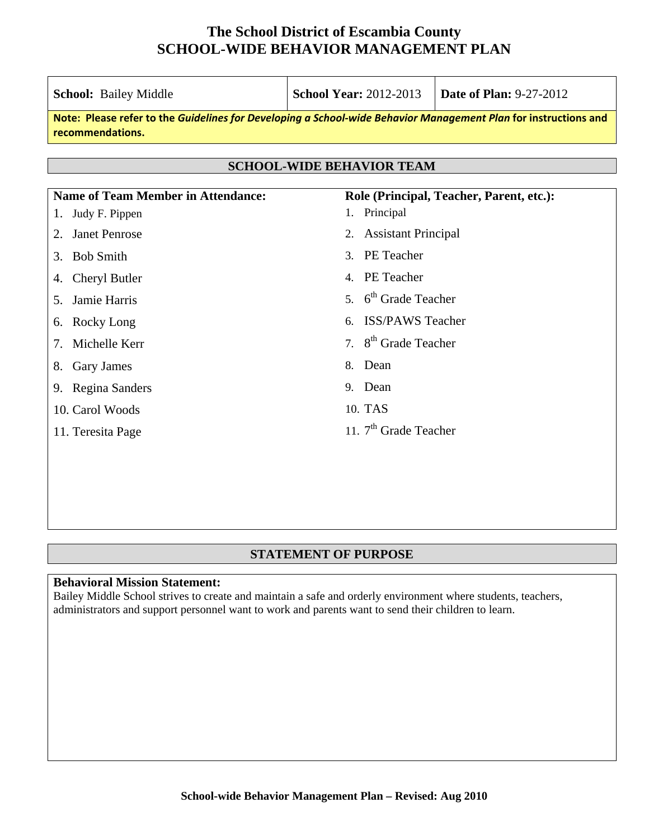| School: Bailey Middle                             | <b>School Year: 2012-2013</b><br><b>Date of Plan: 9-27-2012</b>                                                 |                                          |  |
|---------------------------------------------------|-----------------------------------------------------------------------------------------------------------------|------------------------------------------|--|
| recommendations.                                  | Note: Please refer to the Guidelines for Developing a School-wide Behavior Management Plan for instructions and |                                          |  |
| <b>SCHOOL-WIDE BEHAVIOR TEAM</b>                  |                                                                                                                 |                                          |  |
| <b>Name of Team Member in Attendance:</b>         |                                                                                                                 | Role (Principal, Teacher, Parent, etc.): |  |
| Judy F. Pippen<br>1.                              | 1. Principal                                                                                                    |                                          |  |
| <b>Janet Penrose</b><br>2.                        | <b>Assistant Principal</b><br>2.                                                                                |                                          |  |
| <b>Bob Smith</b><br>3.                            | 3. PE Teacher                                                                                                   |                                          |  |
| Cheryl Butler<br>4.                               | 4. PE Teacher                                                                                                   |                                          |  |
| Jamie Harris<br>5.                                | 5. 6 <sup>th</sup> Grade Teacher                                                                                |                                          |  |
| 6. Rocky Long                                     | <b>ISS/PAWS Teacher</b><br>6                                                                                    |                                          |  |
| Michelle Kerr<br>$7_{\scriptscriptstyle{\ddots}}$ | 7. 8 <sup>th</sup> Grade Teacher                                                                                |                                          |  |
| Gary James<br>8.                                  | Dean<br>8.                                                                                                      |                                          |  |
| 9. Regina Sanders                                 | 9. Dean                                                                                                         |                                          |  |
| 10. Carol Woods                                   | 10. TAS                                                                                                         |                                          |  |
| 11. Teresita Page                                 | 11. $7th$ Grade Teacher                                                                                         |                                          |  |
|                                                   |                                                                                                                 |                                          |  |
|                                                   |                                                                                                                 |                                          |  |

#### **STATEMENT OF PURPOSE**

#### **Behavioral Mission Statement:**

Bailey Middle School strives to create and maintain a safe and orderly environment where students, teachers, administrators and support personnel want to work and parents want to send their children to learn.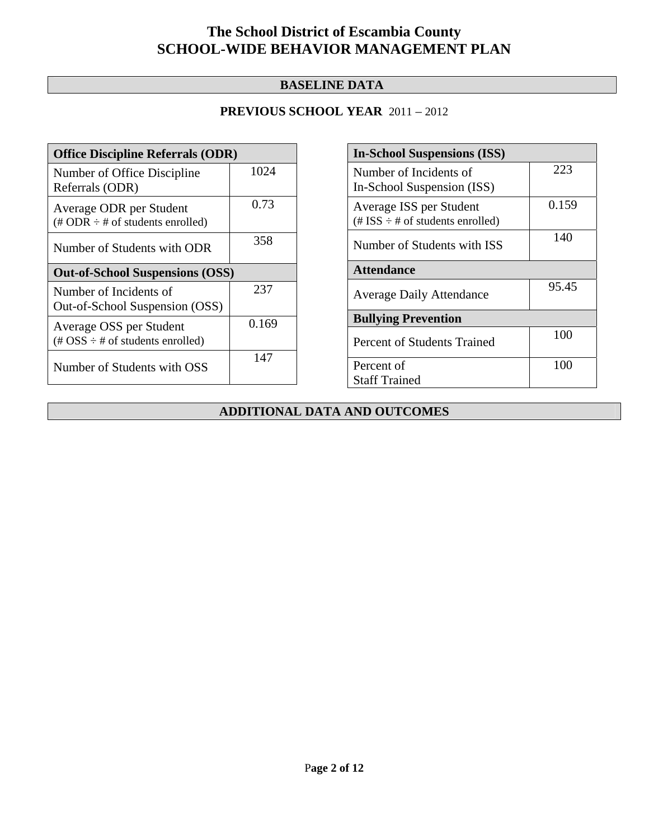### **BASELINE DATA**

### **PREVIOUS SCHOOL YEAR** 2011 – 2012

| <b>Office Discipline Referrals (ODR)</b>                                                        |       |  |
|-------------------------------------------------------------------------------------------------|-------|--|
| Number of Office Discipline<br>Referrals (ODR)                                                  | 1024  |  |
| Average ODR per Student<br>$(\# ODR \div \# \text{ of students enrolled})$                      | 0.73  |  |
| Number of Students with ODR                                                                     | 358   |  |
| <b>Out-of-School Suspensions (OSS)</b>                                                          |       |  |
| Number of Incidents of<br>Out-of-School Suspension (OSS)                                        | 237   |  |
| Average OSS per Student<br>$(\text{\#} \text{OSS} \div \text{\#} \text{ of students enrolled})$ | 0.169 |  |
| Number of Students with OSS                                                                     | 147   |  |

| <b>In-School Suspensions (ISS)</b>                                 |       |  |  |
|--------------------------------------------------------------------|-------|--|--|
| Number of Incidents of                                             | 223   |  |  |
| In-School Suspension (ISS)                                         |       |  |  |
| Average ISS per Student<br>$(\# ISS \div \# of students enrolled)$ | 0.159 |  |  |
| Number of Students with ISS                                        | 140   |  |  |
| <b>Attendance</b>                                                  |       |  |  |
| <b>Average Daily Attendance</b>                                    | 95.45 |  |  |
| <b>Bullying Prevention</b>                                         |       |  |  |
| Percent of Students Trained                                        | 100   |  |  |
| Percent of                                                         | 100   |  |  |
| <b>Staff Trained</b>                                               |       |  |  |

### **ADDITIONAL DATA AND OUTCOMES**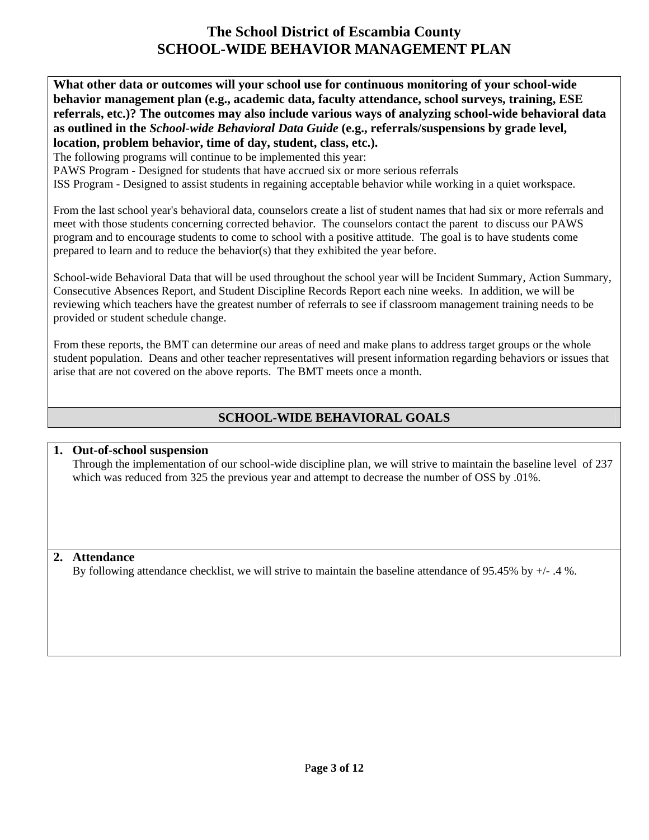**What other data or outcomes will your school use for continuous monitoring of your school-wide behavior management plan (e.g., academic data, faculty attendance, school surveys, training, ESE referrals, etc.)? The outcomes may also include various ways of analyzing school-wide behavioral data as outlined in the** *School-wide Behavioral Data Guide* **(e.g., referrals/suspensions by grade level, location, problem behavior, time of day, student, class, etc.).**

The following programs will continue to be implemented this year:

PAWS Program - Designed for students that have accrued six or more serious referrals

ISS Program - Designed to assist students in regaining acceptable behavior while working in a quiet workspace.

From the last school year's behavioral data, counselors create a list of student names that had six or more referrals and meet with those students concerning corrected behavior. The counselors contact the parent to discuss our PAWS program and to encourage students to come to school with a positive attitude. The goal is to have students come prepared to learn and to reduce the behavior(s) that they exhibited the year before.

School-wide Behavioral Data that will be used throughout the school year will be Incident Summary, Action Summary, Consecutive Absences Report, and Student Discipline Records Report each nine weeks. In addition, we will be reviewing which teachers have the greatest number of referrals to see if classroom management training needs to be provided or student schedule change.

From these reports, the BMT can determine our areas of need and make plans to address target groups or the whole student population. Deans and other teacher representatives will present information regarding behaviors or issues that arise that are not covered on the above reports. The BMT meets once a month.

### **SCHOOL-WIDE BEHAVIORAL GOALS**

### **1. Out-of-school suspension**

Through the implementation of our school-wide discipline plan, we will strive to maintain the baseline level of 237 which was reduced from 325 the previous year and attempt to decrease the number of OSS by .01%.

### **2. Attendance**

By following attendance checklist, we will strive to maintain the baseline attendance of 95.45% by +/- .4 %.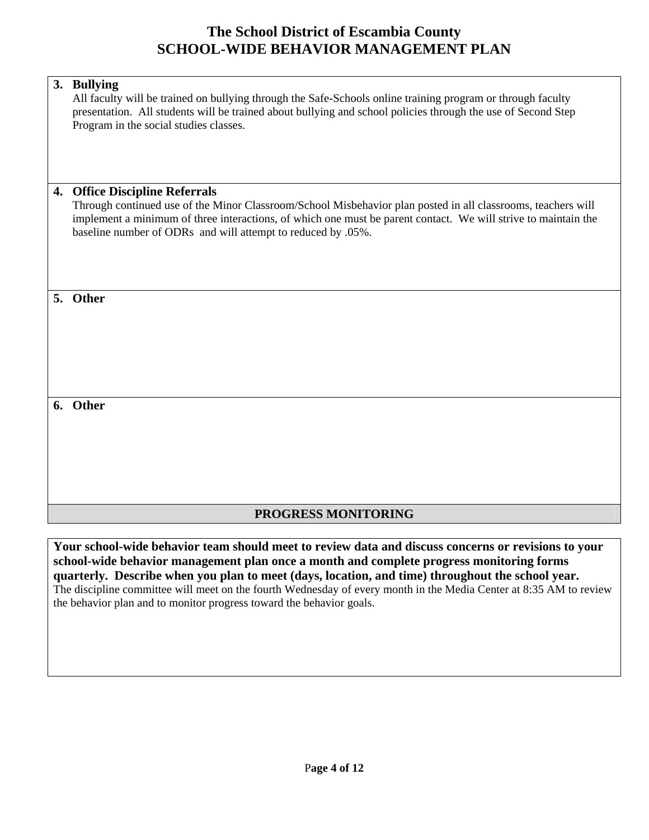|    | 3. Bullying<br>All faculty will be trained on bullying through the Safe-Schools online training program or through faculty<br>presentation. All students will be trained about bullying and school policies through the use of Second Step<br>Program in the social studies classes.                                                 |
|----|--------------------------------------------------------------------------------------------------------------------------------------------------------------------------------------------------------------------------------------------------------------------------------------------------------------------------------------|
| 4. | <b>Office Discipline Referrals</b><br>Through continued use of the Minor Classroom/School Misbehavior plan posted in all classrooms, teachers will<br>implement a minimum of three interactions, of which one must be parent contact. We will strive to maintain the<br>baseline number of ODRs and will attempt to reduced by .05%. |
| 5. | Other                                                                                                                                                                                                                                                                                                                                |
|    | 6. Other                                                                                                                                                                                                                                                                                                                             |

### **PROGRESS MONITORING**

**Your school-wide behavior team should meet to review data and discuss concerns or revisions to your school-wide behavior management plan once a month and complete progress monitoring forms quarterly. Describe when you plan to meet (days, location, and time) throughout the school year.**  The discipline committee will meet on the fourth Wednesday of every month in the Media Center at 8:35 AM to review the behavior plan and to monitor progress toward the behavior goals.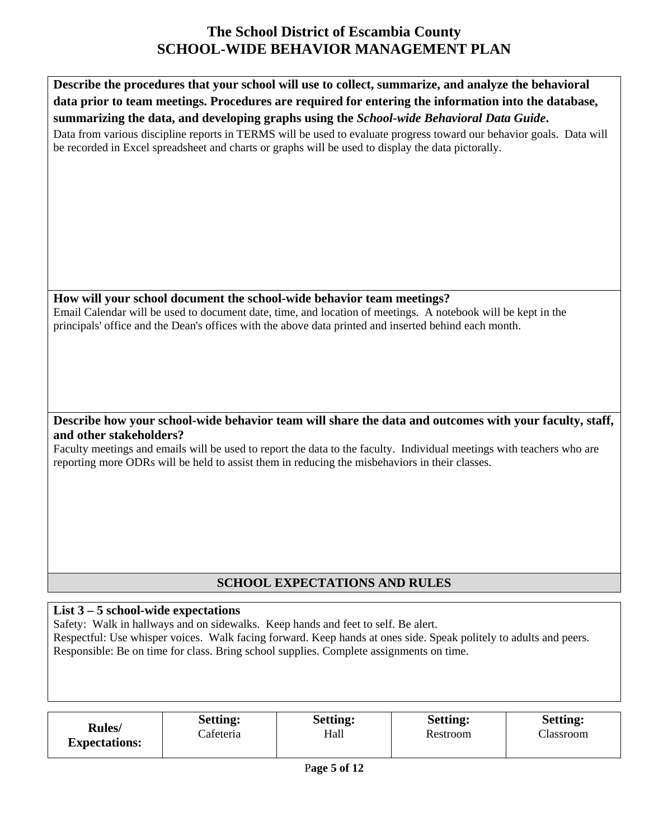

## **SCHOOL EXPECTATIONS AND RULES**

### **List 3 – 5 school-wide expectations**

Safety: Walk in hallways and on sidewalks. Keep hands and feet to self. Be alert. Respectful: Use whisper voices. Walk facing forward. Keep hands at ones side. Speak politely to adults and peers. Responsible: Be on time for class. Bring school supplies. Complete assignments on time.

|                                        | <b>Setting:</b> | <b>Setting:</b> | <b>Setting:</b> | <b>Setting:</b> |
|----------------------------------------|-----------------|-----------------|-----------------|-----------------|
| <b>Rules</b> /<br><b>Expectations:</b> | Cafeteria       | Hall            | Restroom        | Classroom       |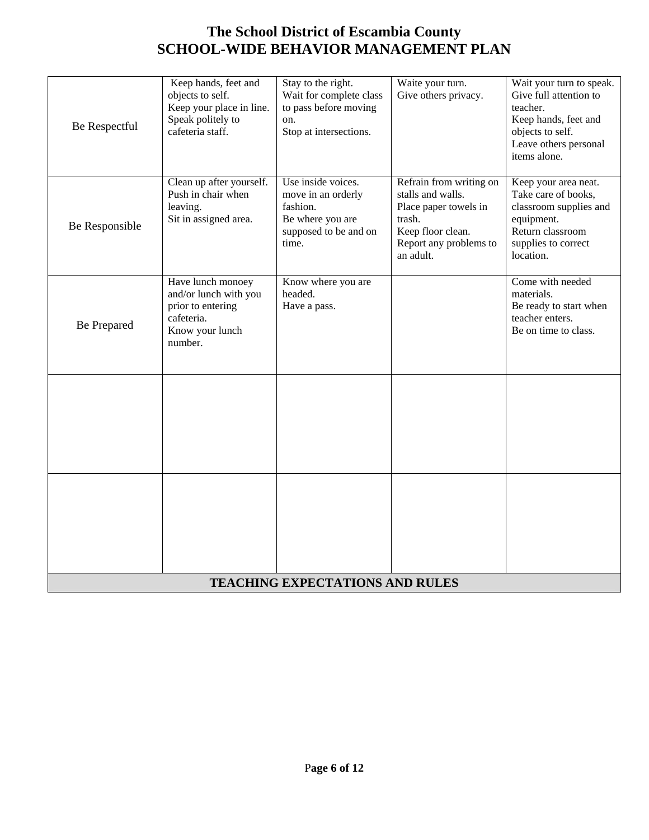| Be Respectful  | Keep hands, feet and<br>objects to self.<br>Keep your place in line.<br>Speak politely to<br>cafeteria staff. | Stay to the right.<br>Wait for complete class<br>to pass before moving<br>on.<br>Stop at intersections.    | Waite your turn.<br>Give others privacy.                                                                                                    | Wait your turn to speak.<br>Give full attention to<br>teacher.<br>Keep hands, feet and<br>objects to self.<br>Leave others personal<br>items alone. |
|----------------|---------------------------------------------------------------------------------------------------------------|------------------------------------------------------------------------------------------------------------|---------------------------------------------------------------------------------------------------------------------------------------------|-----------------------------------------------------------------------------------------------------------------------------------------------------|
| Be Responsible | Clean up after yourself.<br>Push in chair when<br>leaving.<br>Sit in assigned area.                           | Use inside voices.<br>move in an orderly<br>fashion.<br>Be where you are<br>supposed to be and on<br>time. | Refrain from writing on<br>stalls and walls.<br>Place paper towels in<br>trash.<br>Keep floor clean.<br>Report any problems to<br>an adult. | Keep your area neat.<br>Take care of books,<br>classroom supplies and<br>equipment.<br>Return classroom<br>supplies to correct<br>location.         |
| Be Prepared    | Have lunch monoey<br>and/or lunch with you<br>prior to entering<br>cafeteria.<br>Know your lunch<br>number.   | Know where you are<br>headed.<br>Have a pass.                                                              |                                                                                                                                             | Come with needed<br>materials.<br>Be ready to start when<br>teacher enters.<br>Be on time to class.                                                 |
|                |                                                                                                               |                                                                                                            |                                                                                                                                             |                                                                                                                                                     |
|                |                                                                                                               |                                                                                                            |                                                                                                                                             |                                                                                                                                                     |
|                |                                                                                                               | <b>TEACHING EXPECTATIONS AND RULES</b>                                                                     |                                                                                                                                             |                                                                                                                                                     |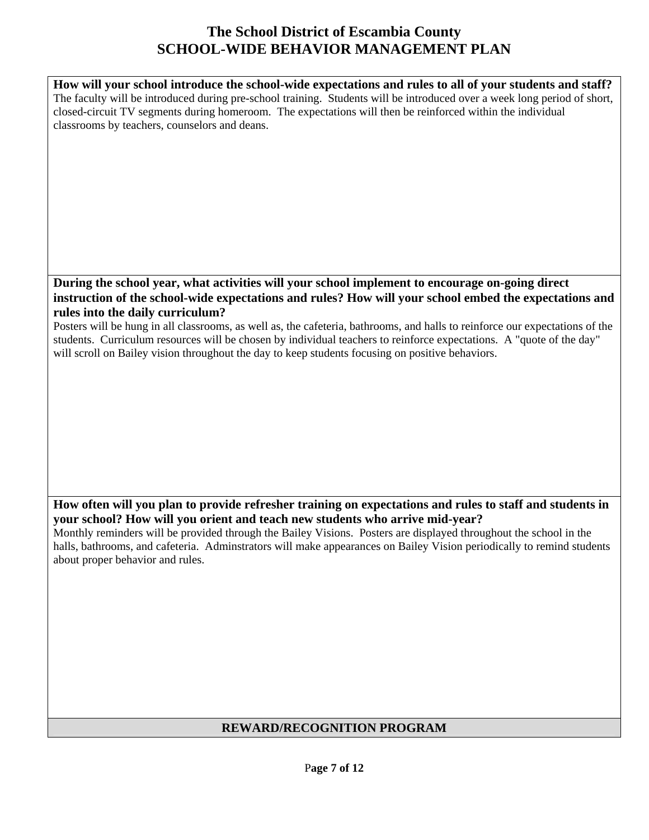**How will your school introduce the school-wide expectations and rules to all of your students and staff?**  The faculty will be introduced during pre-school training. Students will be introduced over a week long period of short, closed-circuit TV segments during homeroom. The expectations will then be reinforced within the individual classrooms by teachers, counselors and deans.

#### **During the school year, what activities will your school implement to encourage on-going direct instruction of the school-wide expectations and rules? How will your school embed the expectations and rules into the daily curriculum?**

Posters will be hung in all classrooms, as well as, the cafeteria, bathrooms, and halls to reinforce our expectations of the students. Curriculum resources will be chosen by individual teachers to reinforce expectations. A "quote of the day" will scroll on Bailey vision throughout the day to keep students focusing on positive behaviors.

### **How often will you plan to provide refresher training on expectations and rules to staff and students in your school? How will you orient and teach new students who arrive mid-year?**

Monthly reminders will be provided through the Bailey Visions. Posters are displayed throughout the school in the halls, bathrooms, and cafeteria. Adminstrators will make appearances on Bailey Vision periodically to remind students about proper behavior and rules.

### **REWARD/RECOGNITION PROGRAM**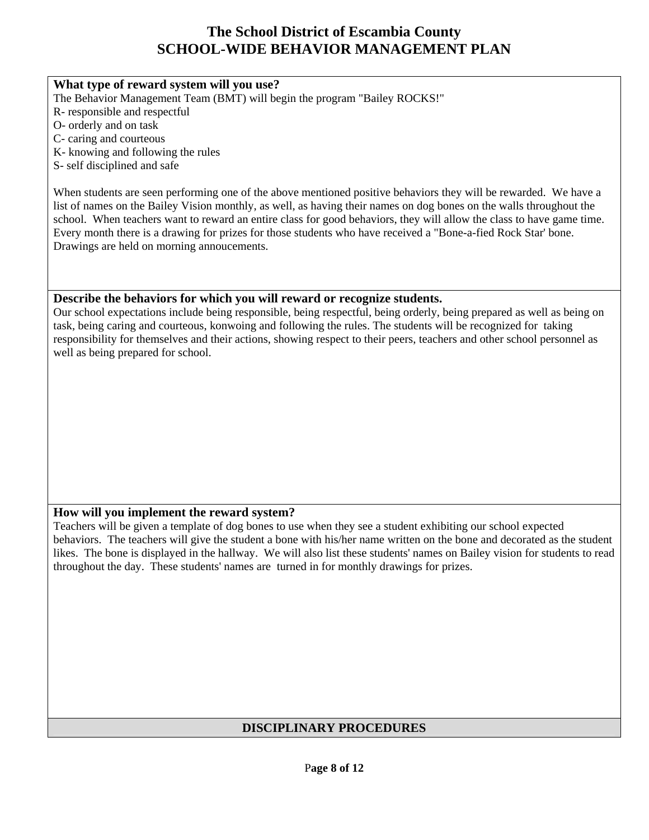#### **What type of reward system will you use?**

The Behavior Management Team (BMT) will begin the program "Bailey ROCKS!"

- R- responsible and respectful
- O- orderly and on task
- C- caring and courteous
- K- knowing and following the rules
- S- self disciplined and safe

When students are seen performing one of the above mentioned positive behaviors they will be rewarded. We have a list of names on the Bailey Vision monthly, as well, as having their names on dog bones on the walls throughout the school. When teachers want to reward an entire class for good behaviors, they will allow the class to have game time. Every month there is a drawing for prizes for those students who have received a "Bone-a-fied Rock Star' bone. Drawings are held on morning annoucements.

#### **Describe the behaviors for which you will reward or recognize students.**

Our school expectations include being responsible, being respectful, being orderly, being prepared as well as being on task, being caring and courteous, konwoing and following the rules. The students will be recognized for taking responsibility for themselves and their actions, showing respect to their peers, teachers and other school personnel as well as being prepared for school.

#### **How will you implement the reward system?**

Teachers will be given a template of dog bones to use when they see a student exhibiting our school expected behaviors. The teachers will give the student a bone with his/her name written on the bone and decorated as the student likes. The bone is displayed in the hallway. We will also list these students' names on Bailey vision for students to read throughout the day. These students' names are turned in for monthly drawings for prizes.

### **DISCIPLINARY PROCEDURES**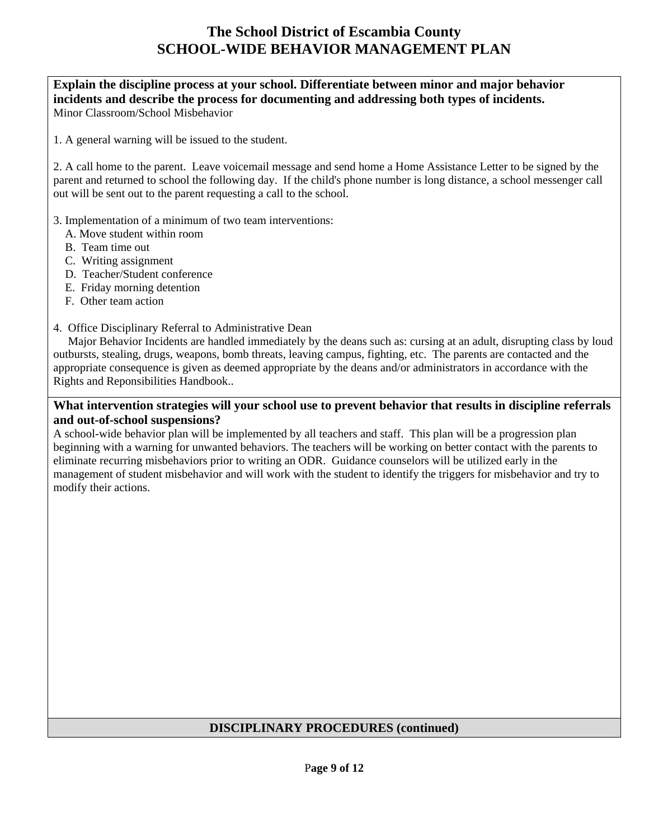**Explain the discipline process at your school. Differentiate between minor and major behavior incidents and describe the process for documenting and addressing both types of incidents.**  Minor Classroom/School Misbehavior

1. A general warning will be issued to the student.

2. A call home to the parent. Leave voicemail message and send home a Home Assistance Letter to be signed by the parent and returned to school the following day. If the child's phone number is long distance, a school messenger call out will be sent out to the parent requesting a call to the school.

3. Implementation of a minimum of two team interventions:

- A. Move student within room
- B. Team time out
- C. Writing assignment
- D. Teacher/Student conference
- E. Friday morning detention
- F. Other team action

#### 4. Office Disciplinary Referral to Administrative Dean

 Major Behavior Incidents are handled immediately by the deans such as: cursing at an adult, disrupting class by loud outbursts, stealing, drugs, weapons, bomb threats, leaving campus, fighting, etc. The parents are contacted and the appropriate consequence is given as deemed appropriate by the deans and/or administrators in accordance with the Rights and Reponsibilities Handbook..

#### **What intervention strategies will your school use to prevent behavior that results in discipline referrals and out-of-school suspensions?**

A school-wide behavior plan will be implemented by all teachers and staff. This plan will be a progression plan beginning with a warning for unwanted behaviors. The teachers will be working on better contact with the parents to eliminate recurring misbehaviors prior to writing an ODR. Guidance counselors will be utilized early in the management of student misbehavior and will work with the student to identify the triggers for misbehavior and try to modify their actions.

#### **DISCIPLINARY PROCEDURES (continued)**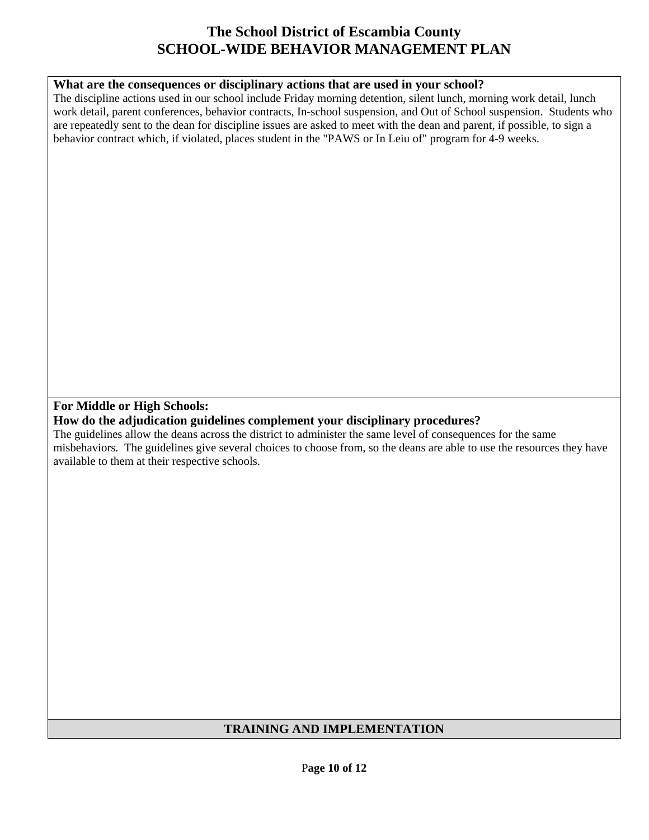### **What are the consequences or disciplinary actions that are used in your school?**

The discipline actions used in our school include Friday morning detention, silent lunch, morning work detail, lunch work detail, parent conferences, behavior contracts, In-school suspension, and Out of School suspension. Students who are repeatedly sent to the dean for discipline issues are asked to meet with the dean and parent, if possible, to sign a behavior contract which, if violated, places student in the "PAWS or In Leiu of" program for 4-9 weeks.

### **For Middle or High Schools:**

**How do the adjudication guidelines complement your disciplinary procedures?** 

The guidelines allow the deans across the district to administer the same level of consequences for the same misbehaviors. The guidelines give several choices to choose from, so the deans are able to use the resources they have available to them at their respective schools.

### **TRAINING AND IMPLEMENTATION**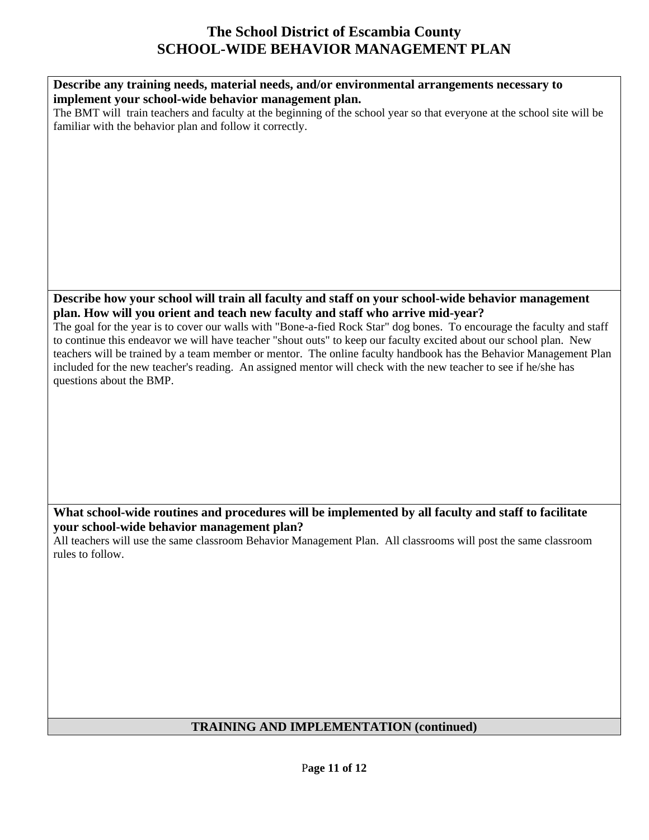| Describe any training needs, material needs, and/or environmental arrangements necessary to                             |
|-------------------------------------------------------------------------------------------------------------------------|
|                                                                                                                         |
| implement your school-wide behavior management plan.                                                                    |
| The BMT will train teachers and faculty at the beginning of the school year so that everyone at the school site will be |
| familiar with the behavior plan and follow it correctly.                                                                |
|                                                                                                                         |
|                                                                                                                         |
|                                                                                                                         |
|                                                                                                                         |
|                                                                                                                         |
|                                                                                                                         |
|                                                                                                                         |
|                                                                                                                         |
|                                                                                                                         |
|                                                                                                                         |
|                                                                                                                         |
|                                                                                                                         |
|                                                                                                                         |
|                                                                                                                         |
|                                                                                                                         |
|                                                                                                                         |
| Describe how your school will train all faculty and staff on your school-wide behavior management                       |
| plan. How will you orient and teach new faculty and staff who arrive mid-year?                                          |
|                                                                                                                         |
| The goal for the year is to cover our walls with "Bone-a-fied Rock Star" dog bones. To encourage the faculty and staff  |
| to continue this endeavor we will have teacher "shout outs" to keep our faculty excited about our school plan. New      |
| teachers will be trained by a team member or mentor. The online faculty handbook has the Behavior Management Plan       |
|                                                                                                                         |
| included for the new teacher's reading. An assigned mentor will check with the new teacher to see if he/she has         |
| questions about the BMP.                                                                                                |
|                                                                                                                         |
|                                                                                                                         |
|                                                                                                                         |
|                                                                                                                         |
|                                                                                                                         |
|                                                                                                                         |
|                                                                                                                         |
|                                                                                                                         |
|                                                                                                                         |
|                                                                                                                         |
|                                                                                                                         |
|                                                                                                                         |
| What school-wide routines and procedures will be implemented by all faculty and staff to facilitate                     |
| your school-wide behavior management plan?                                                                              |
|                                                                                                                         |
| All teachers will use the same classroom Behavior Management Plan. All classrooms will post the same classroom          |
| rules to follow.                                                                                                        |
|                                                                                                                         |
|                                                                                                                         |
|                                                                                                                         |
|                                                                                                                         |
|                                                                                                                         |
|                                                                                                                         |
|                                                                                                                         |
|                                                                                                                         |
|                                                                                                                         |

# **TRAINING AND IMPLEMENTATION (continued)**